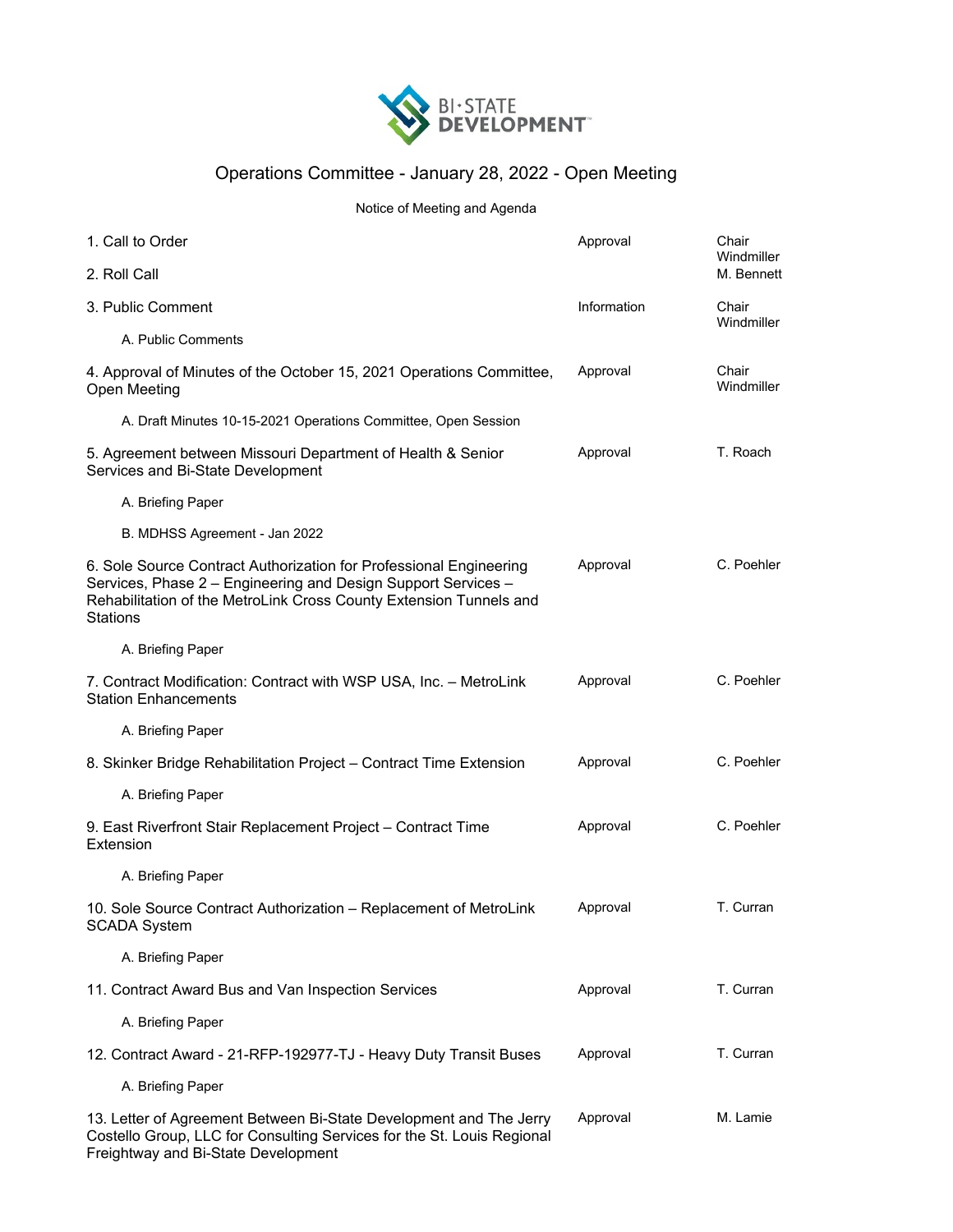

## Operations Committee - January 28, 2022 - Open Meeting

## Notice of Meeting and Agenda

| 1. Call to Order                                                                                                                                                                                                             | Approval    | Chair<br>Windmiller |
|------------------------------------------------------------------------------------------------------------------------------------------------------------------------------------------------------------------------------|-------------|---------------------|
| 2. Roll Call                                                                                                                                                                                                                 |             | M. Bennett          |
| 3. Public Comment                                                                                                                                                                                                            | Information | Chair<br>Windmiller |
| A. Public Comments                                                                                                                                                                                                           |             |                     |
| 4. Approval of Minutes of the October 15, 2021 Operations Committee,<br>Open Meeting                                                                                                                                         | Approval    | Chair<br>Windmiller |
| A. Draft Minutes 10-15-2021 Operations Committee, Open Session                                                                                                                                                               |             |                     |
| 5. Agreement between Missouri Department of Health & Senior<br>Services and Bi-State Development                                                                                                                             | Approval    | T. Roach            |
| A. Briefing Paper                                                                                                                                                                                                            |             |                     |
| B. MDHSS Agreement - Jan 2022                                                                                                                                                                                                |             |                     |
| 6. Sole Source Contract Authorization for Professional Engineering<br>Services, Phase 2 - Engineering and Design Support Services -<br>Rehabilitation of the MetroLink Cross County Extension Tunnels and<br><b>Stations</b> | Approval    | C. Poehler          |
| A. Briefing Paper                                                                                                                                                                                                            |             |                     |
| 7. Contract Modification: Contract with WSP USA, Inc. - MetroLink<br><b>Station Enhancements</b>                                                                                                                             | Approval    | C. Poehler          |
| A. Briefing Paper                                                                                                                                                                                                            |             |                     |
| 8. Skinker Bridge Rehabilitation Project - Contract Time Extension                                                                                                                                                           | Approval    | C. Poehler          |
| A. Briefing Paper                                                                                                                                                                                                            |             |                     |
| 9. East Riverfront Stair Replacement Project - Contract Time<br>Extension                                                                                                                                                    | Approval    | C. Poehler          |
| A. Briefing Paper                                                                                                                                                                                                            |             |                     |
| 10. Sole Source Contract Authorization - Replacement of MetroLink<br><b>SCADA System</b>                                                                                                                                     | Approval    | T. Curran           |
| A. Briefing Paper                                                                                                                                                                                                            |             |                     |
| 11. Contract Award Bus and Van Inspection Services                                                                                                                                                                           | Approval    | T. Curran           |
| A. Briefing Paper                                                                                                                                                                                                            |             |                     |
| 12. Contract Award - 21-RFP-192977-TJ - Heavy Duty Transit Buses                                                                                                                                                             | Approval    | T. Curran           |
| A. Briefing Paper                                                                                                                                                                                                            |             |                     |
| 13. Letter of Agreement Between Bi-State Development and The Jerry<br>Costello Group, LLC for Consulting Services for the St. Louis Regional<br>Freightway and Bi-State Development                                          | Approval    | M. Lamie            |